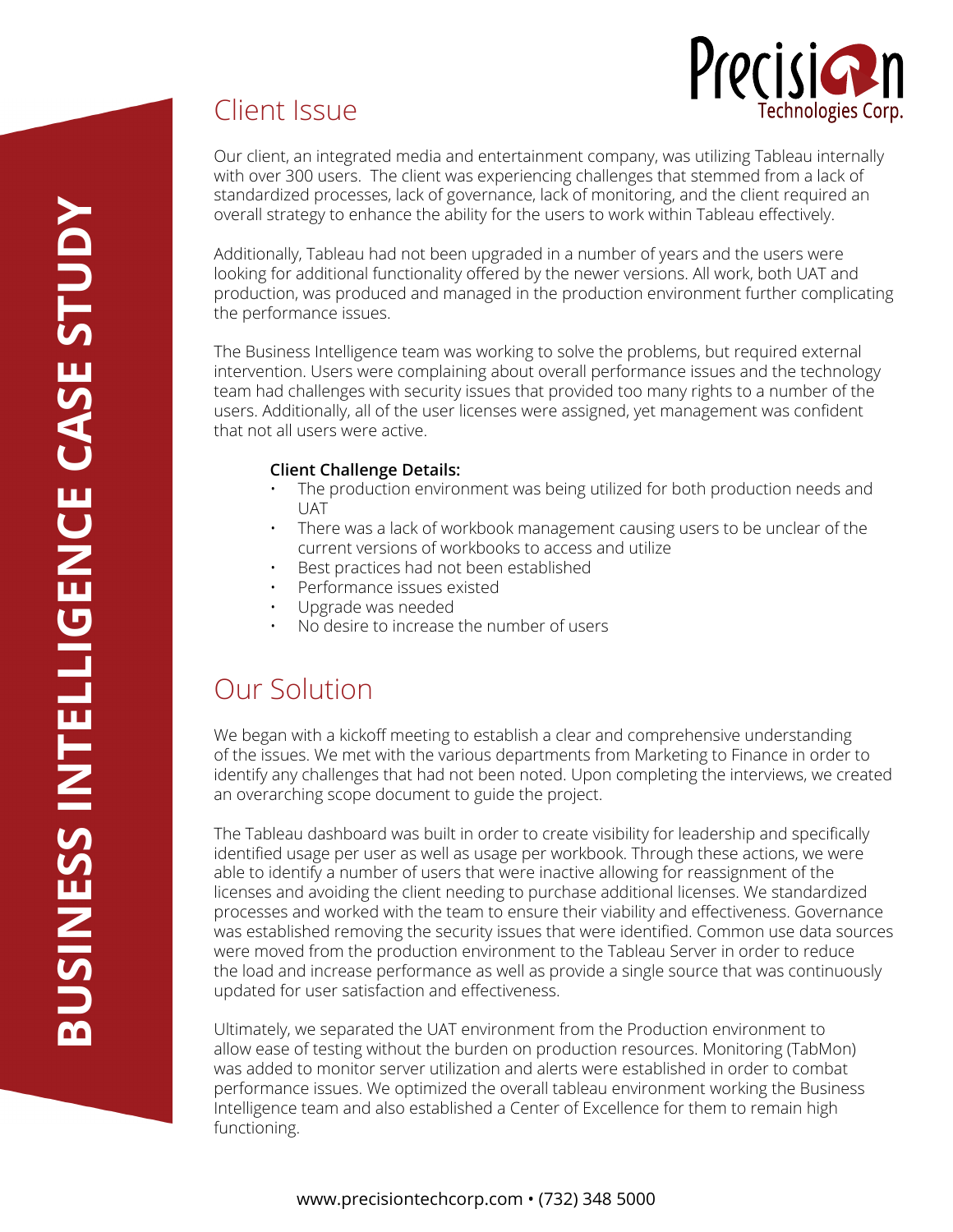



Our client, an integrated media and entertainment company, was utilizing Tableau internally with over 300 users. The client was experiencing challenges that stemmed from a lack of standardized processes, lack of governance, lack of monitoring, and the client required an overall strategy to enhance the ability for the users to work within Tableau effectively.

Additionally, Tableau had not been upgraded in a number of years and the users were looking for additional functionality offered by the newer versions. All work, both UAT and production, was produced and managed in the production environment further complicating the performance issues.

The Business Intelligence team was working to solve the problems, but required external intervention. Users were complaining about overall performance issues and the technology team had challenges with security issues that provided too many rights to a number of the users. Additionally, all of the user licenses were assigned, yet management was confident that not all users were active.

#### **Client Challenge Details:**

- The production environment was being utilized for both production needs and **UAT**
- There was a lack of workbook management causing users to be unclear of the current versions of workbooks to access and utilize
- Best practices had not been established
- Performance issues existed
- Upgrade was needed
- No desire to increase the number of users

## Our Solution

Client Issue

We began with a kickoff meeting to establish a clear and comprehensive understanding of the issues. We met with the various departments from Marketing to Finance in order to identify any challenges that had not been noted. Upon completing the interviews, we created an overarching scope document to guide the project.

The Tableau dashboard was built in order to create visibility for leadership and specifically identified usage per user as well as usage per workbook. Through these actions, we were able to identify a number of users that were inactive allowing for reassignment of the licenses and avoiding the client needing to purchase additional licenses. We standardized processes and worked with the team to ensure their viability and effectiveness. Governance was established removing the security issues that were identified. Common use data sources were moved from the production environment to the Tableau Server in order to reduce the load and increase performance as well as provide a single source that was continuously updated for user satisfaction and effectiveness.

Ultimately, we separated the UAT environment from the Production environment to allow ease of testing without the burden on production resources. Monitoring (TabMon) was added to monitor server utilization and alerts were established in order to combat performance issues. We optimized the overall tableau environment working the Business Intelligence team and also established a Center of Excellence for them to remain high functioning.